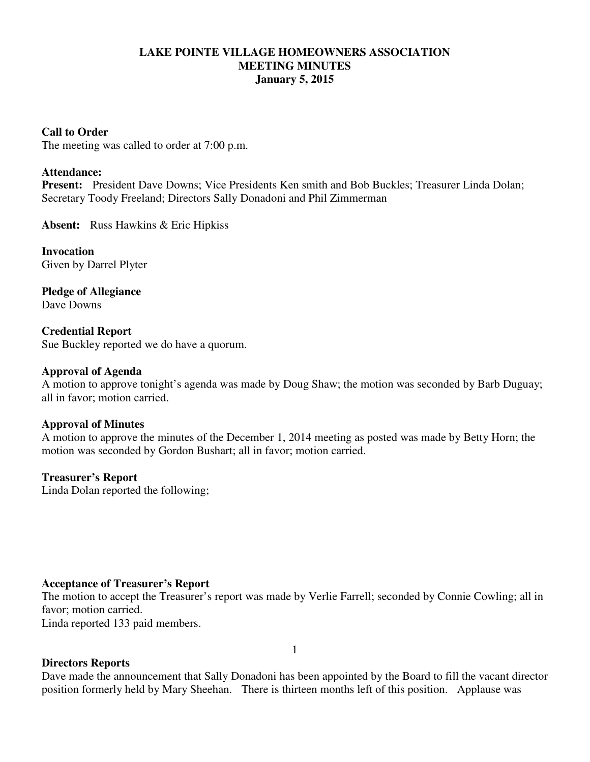### **LAKE POINTE VILLAGE HOMEOWNERS ASSOCIATION MEETING MINUTES January 5, 2015**

### **Call to Order**

The meeting was called to order at 7:00 p.m.

### **Attendance:**

**Present:** President Dave Downs; Vice Presidents Ken smith and Bob Buckles; Treasurer Linda Dolan; Secretary Toody Freeland; Directors Sally Donadoni and Phil Zimmerman

**Absent:** Russ Hawkins & Eric Hipkiss

**Invocation**  Given by Darrel Plyter

**Pledge of Allegiance**  Dave Downs

**Credential Report**  Sue Buckley reported we do have a quorum.

#### **Approval of Agenda**

A motion to approve tonight's agenda was made by Doug Shaw; the motion was seconded by Barb Duguay; all in favor; motion carried.

### **Approval of Minutes**

A motion to approve the minutes of the December 1, 2014 meeting as posted was made by Betty Horn; the motion was seconded by Gordon Bushart; all in favor; motion carried.

### **Treasurer's Report**

Linda Dolan reported the following;

### **Acceptance of Treasurer's Report**

The motion to accept the Treasurer's report was made by Verlie Farrell; seconded by Connie Cowling; all in favor; motion carried.

Linda reported 133 paid members.

### **Directors Reports**

Dave made the announcement that Sally Donadoni has been appointed by the Board to fill the vacant director position formerly held by Mary Sheehan. There is thirteen months left of this position. Applause was

1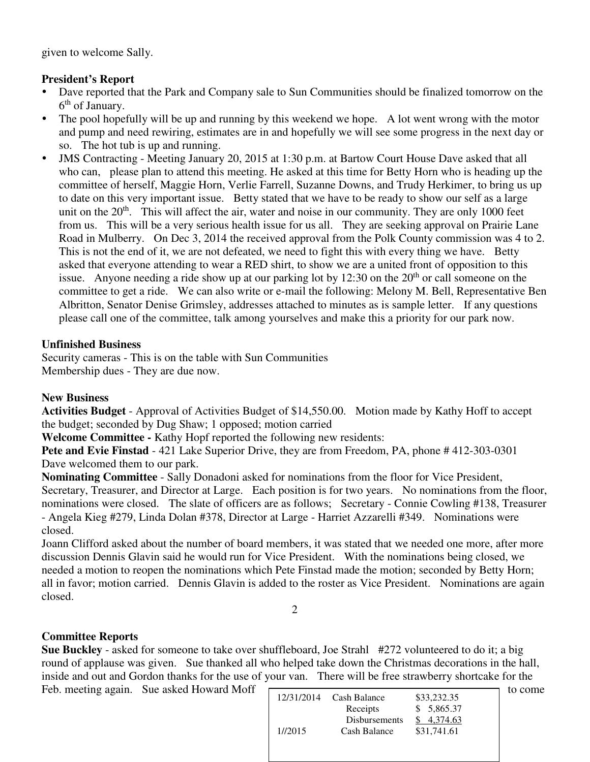given to welcome Sally.

# **President's Report**

- Dave reported that the Park and Company sale to Sun Communities should be finalized tomorrow on the 6<sup>th</sup> of January.
- The pool hopefully will be up and running by this weekend we hope. A lot went wrong with the motor and pump and need rewiring, estimates are in and hopefully we will see some progress in the next day or so. The hot tub is up and running.
- JMS Contracting Meeting January 20, 2015 at 1:30 p.m. at Bartow Court House Dave asked that all who can, please plan to attend this meeting. He asked at this time for Betty Horn who is heading up the committee of herself, Maggie Horn, Verlie Farrell, Suzanne Downs, and Trudy Herkimer, to bring us up to date on this very important issue. Betty stated that we have to be ready to show our self as a large unit on the  $20<sup>th</sup>$ . This will affect the air, water and noise in our community. They are only 1000 feet from us. This will be a very serious health issue for us all. They are seeking approval on Prairie Lane Road in Mulberry. On Dec 3, 2014 the received approval from the Polk County commission was 4 to 2. This is not the end of it, we are not defeated, we need to fight this with every thing we have. Betty asked that everyone attending to wear a RED shirt, to show we are a united front of opposition to this issue. Anyone needing a ride show up at our parking lot by 12:30 on the  $20<sup>th</sup>$  or call someone on the committee to get a ride. We can also write or e-mail the following: Melony M. Bell, Representative Ben Albritton, Senator Denise Grimsley, addresses attached to minutes as is sample letter. If any questions please call one of the committee, talk among yourselves and make this a priority for our park now.

### **Unfinished Business**

Security cameras - This is on the table with Sun Communities Membership dues - They are due now.

# **New Business**

**Activities Budget** - Approval of Activities Budget of \$14,550.00. Motion made by Kathy Hoff to accept the budget; seconded by Dug Shaw; 1 opposed; motion carried

**Welcome Committee -** Kathy Hopf reported the following new residents:

**Pete and Evie Finstad** - 421 Lake Superior Drive, they are from Freedom, PA, phone # 412-303-0301 Dave welcomed them to our park.

**Nominating Committee** - Sally Donadoni asked for nominations from the floor for Vice President, Secretary, Treasurer, and Director at Large. Each position is for two years. No nominations from the floor, nominations were closed. The slate of officers are as follows; Secretary - Connie Cowling #138, Treasurer - Angela Kieg #279, Linda Dolan #378, Director at Large - Harriet Azzarelli #349. Nominations were closed.

Joann Clifford asked about the number of board members, it was stated that we needed one more, after more discussion Dennis Glavin said he would run for Vice President. With the nominations being closed, we needed a motion to reopen the nominations which Pete Finstad made the motion; seconded by Betty Horn; all in favor; motion carried. Dennis Glavin is added to the roster as Vice President. Nominations are again closed. 2

# **Committee Reports**

**Sue Buckley** - asked for someone to take over shuffleboard, Joe Strahl #272 volunteered to do it; a big round of applause was given. Sue thanked all who helped take down the Christmas decorations in the hall, inside and out and Gordon thanks for the use of your van. There will be free strawberry shortcake for the

| Feb. meeting again. Sue asked Howard Moff |            |               |             | to come |
|-------------------------------------------|------------|---------------|-------------|---------|
|                                           | 12/31/2014 | Cash Balance  | \$33,232.35 |         |
|                                           |            | Receipts      | \$5,865.37  |         |
|                                           |            | Disbursements | \$4.374.63  |         |
|                                           | 1//2015    | Cash Balance  | \$31,741.61 |         |
|                                           |            |               |             |         |